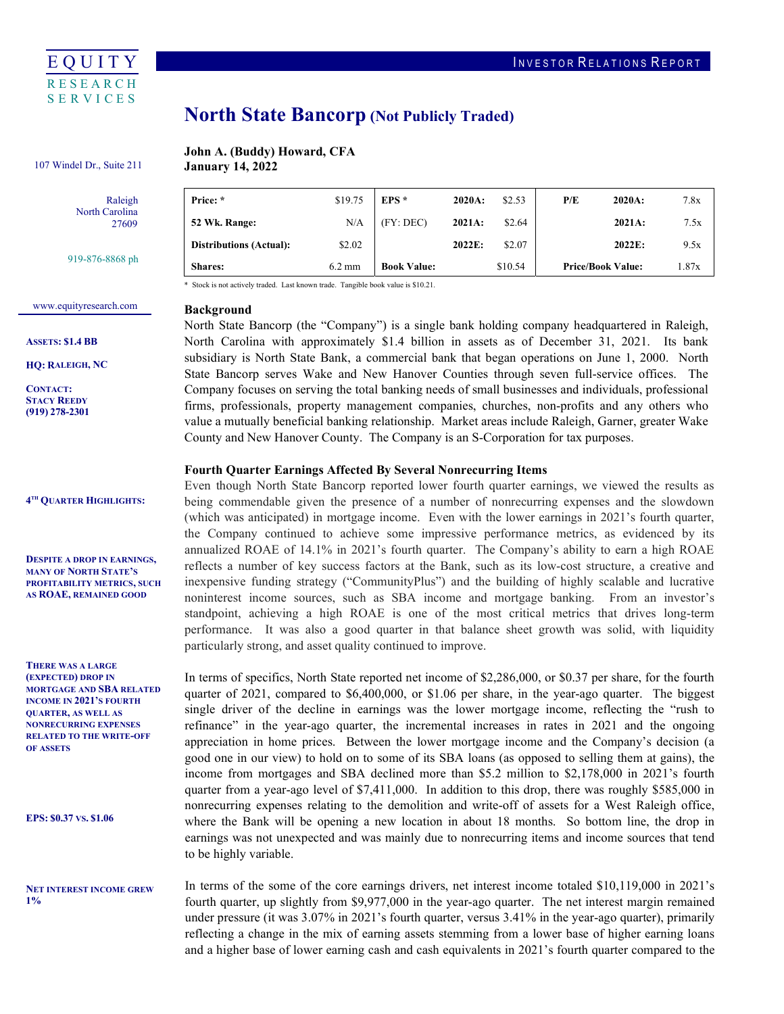

# North State Bancorp (Not Publicly Traded)

## John A. (Buddy) Howard, CFA

 $\mathbf{r}$ 

107 Windel Dr., Suite 211 **January 14, 2022** 

| Raleigh        |  |  |  |  |
|----------------|--|--|--|--|
| North Carolina |  |  |  |  |
| 27609          |  |  |  |  |
|                |  |  |  |  |

919-876-8868 ph

| <b>Shares:</b>                 | $6.2 \text{ mm}$ | <b>Book Value:</b> |           | \$10.54 | <b>Price/Book Value:</b> | 1.87x |
|--------------------------------|------------------|--------------------|-----------|---------|--------------------------|-------|
| <b>Distributions (Actual):</b> | \$2.02           |                    | 2022E:    | \$2.07  | 2022E:                   | 9.5x  |
| 52 Wk. Range:                  | N/A              | (FY: DEC)          | 2021A:    | \$2.64  | 2021A:                   | 7.5x  |
| Price: *                       | \$19.75          | $EPS*$             | $2020A$ : | \$2.53  | P/E<br>$2020A$ :         | 7.8x  |

\* Stock is not actively traded. Last known trade. Tangible book value is \$10.21.

## <www.equityresearch.com>

ASSETS: \$1.4 BB

HQ: RALEIGH, NC

CONTACT: STACY REEDY (919) 278-2301

4TH QUARTER HIGHLIGHTS:

 DESPITE A DROP IN EARNINGS, MANY OF NORTH STATE'S PROFITABILITY METRICS, SUCH AS ROAE, REMAINED GOOD

 THERE WAS A LARGE (EXPECTED) DROP IN MORTGAGE AND SBA RELATED INCOME IN 2021'S FOURTH QUARTER, AS WELL AS RELATED TO THE WRITE-OFF NONRECURRING EXPENSES OF ASSETS

EPS: \$0.37 VS. \$1.06

 NET INTEREST INCOME GREW  $1%$ 

## Background

 North State Bancorp (the "Company") is a single bank holding company headquartered in Raleigh, North Carolina with approximately \$1.4 billion in assets as of December 31, 2021. Its bank subsidiary is North State Bank, a commercial bank that began operations on June 1, 2000. North State Bancorp serves Wake and New Hanover Counties through seven full-service offices. The Company focuses on serving the total banking needs of small businesses and individuals, professional firms, professionals, property management companies, churches, non-profits and any others who value a mutually beneficial banking relationship. Market areas include Raleigh, Garner, greater Wake County and New Hanover County. The Company is an S-Corporation for tax purposes.

## Fourth Quarter Earnings Affected By Several Nonrecurring Items

 Even though North State Bancorp reported lower fourth quarter earnings, we viewed the results as being commendable given the presence of a number of nonrecurring expenses and the slowdown (which was anticipated) in mortgage income. Even with the lower earnings in 2021's fourth quarter, the Company continued to achieve some impressive performance metrics, as evidenced by its annualized ROAE of 14.1% in 2021's fourth quarter. The Company's ability to earn a high ROAE reflects a number of key success factors at the Bank, such as its low-cost structure, a creative and inexpensive funding strategy ("CommunityPlus") and the building of highly scalable and lucrative noninterest income sources, such as SBA income and mortgage banking. From an investor's standpoint, achieving a high ROAE is one of the most critical metrics that drives long-term performance. It was also a good quarter in that balance sheet growth was solid, with liquidity particularly strong, and asset quality continued to improve.

 In terms of specifics, North State reported net income of \$2,286,000, or \$0.37 per share, for the fourth quarter of 2021, compared to \$6,400,000, or \$1.06 per share, in the year-ago quarter. The biggest single driver of the decline in earnings was the lower mortgage income, reflecting the "rush to refinance" in the year-ago quarter, the incremental increases in rates in 2021 and the ongoing appreciation in home prices. Between the lower mortgage income and the Company's decision (a good one in our view) to hold on to some of its SBA loans (as opposed to selling them at gains), the income from mortgages and SBA declined more than \$5.2 million to \$2,178,000 in 2021's fourth quarter from a year-ago level of \$7,411,000. In addition to this drop, there was roughly \$585,000 in nonrecurring expenses relating to the demolition and write-off of assets for a West Raleigh office, where the Bank will be opening a new location in about 18 months. So bottom line, the drop in earnings was not unexpected and was mainly due to nonrecurring items and income sources that tend to be highly variable.

 In terms of the some of the core earnings drivers, net interest income totaled \$10,119,000 in 2021's fourth quarter, up slightly from \$9,977,000 in the year-ago quarter. The net interest margin remained under pressure (it was 3.07% in 2021's fourth quarter, versus 3.41% in the year-ago quarter), primarily reflecting a change in the mix of earning assets stemming from a lower base of higher earning loans and a higher base of lower earning cash and cash equivalents in 2021's fourth quarter compared to the